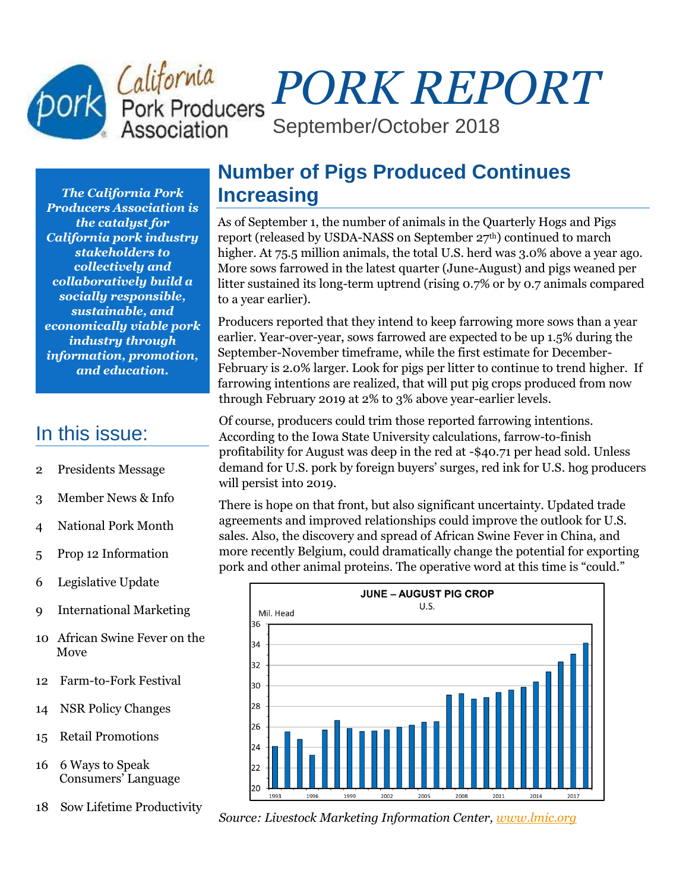# *PORK REPORT* September/October 2018

*The California Pork Producers Association is the catalyst for California pork industry stakeholders to collectively and collaboratively build a socially responsible, sustainable, and economically viable pork industry through information, promotion, and education.*

## In this issue:

- 2 Presidents Message
- 3 Member News & Info
- 4 National Pork Month
- 5 Prop 12 Information
- 6 Legislative Update
- 9 International Marketing
- 10 African Swine Fever on the Move
- 12 Farm-to-Fork Festival
- 14 NSR Policy Changes
- 15 Retail Promotions
- 16 6 Ways to Speak Consumers' Language
- 18 Sow Lifetime Productivity

## **Number of Pigs Produced Continues Increasing**

As of September 1, the number of animals in the Quarterly Hogs and Pigs report (released by USDA-NASS on September 27<sup>th</sup>) continued to march higher. At 75.5 million animals, the total U.S. herd was 3.0% above a year ago. More sows farrowed in the latest quarter (June-August) and pigs weaned per litter sustained its long-term uptrend (rising 0.7% or by 0.7 animals compared to a year earlier).

Producers reported that they intend to keep farrowing more sows than a year earlier. Year-over-year, sows farrowed are expected to be up 1.5% during the September-November timeframe, while the first estimate for December-February is 2.0% larger. Look for pigs per litter to continue to trend higher. If farrowing intentions are realized, that will put pig crops produced from now through February 2019 at 2% to 3% above year-earlier levels.

Of course, producers could trim those reported farrowing intentions. According to the Iowa State University calculations, farrow-to-finish profitability for August was deep in the red at -\$40.71 per head sold. Unless demand for U.S. pork by foreign buyers' surges, red ink for U.S. hog producers will persist into 2019.

There is hope on that front, but also significant uncertainty. Updated trade agreements and improved relationships could improve the outlook for U.S. sales. Also, the discovery and spread of African Swine Fever in China, and more recently Belgium, could dramatically change the potential for exporting pork and other animal proteins. The operative word at this time is "could."



*Source: Livestock Marketing Information Center, [www.lmic.org](http://www.lmic.org/)*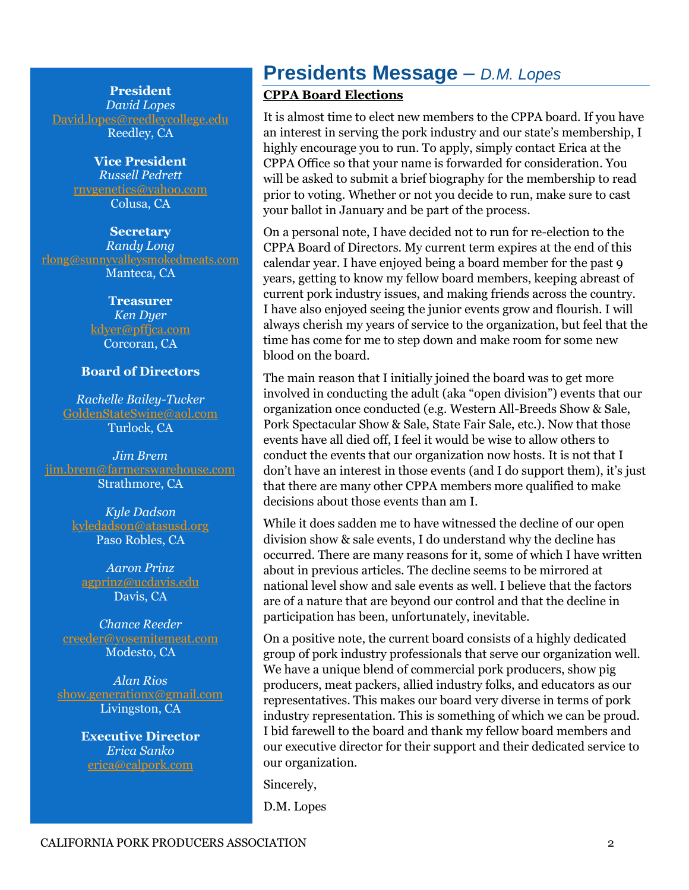#### **President**

*David Lopes* [David.lopes@reedleycollege.edu](mailto:David.lopes@reedleycollege.edu) Reedley, CA

> **Vice President** *Russell Pedrett* [rnvgenetics@yahoo.com](mailto:rnvgenetics@yahoo.com) Colusa, CA

**Secretary** *Randy Long* [rlong@sunnyvalleysmokedmeats.com](mailto:rlong@sunnyvalleysmokedmeats.com) Manteca, CA

> **Treasurer** *Ken Dyer* [kdyer@pffjca.com](mailto:kdyer@pffjca.com) Corcoran, CA

#### **Board of Directors**

*Rachelle Bailey-Tucker* [GoldenStateSwine@aol.com](mailto:GoldenStateSwine@aol.com) Turlock, CA

*Jim Brem* Strathmore, CA

> *Kyle Dadson* [kyledadson@atasusd.org](mailto:kyledadson@atasusd.org) Paso Robles, CA

*Aaron Prinz* [agprinz@ucdavis.edu](mailto:agprinz@ucdavis.edu) Davis, CA

*Chance Reeder* Modesto, CA

*Alan Rios* [show.generationx@gmail.com](mailto:show.generationx@gmail.com) Livingston, CA

> **Executive Director** *Erica Sanko* [erica@calpork.com](mailto:erica@calpork.com)

### **Presidents Message** – *D.M. Lopes*

#### **CPPA Board Elections**

It is almost time to elect new members to the CPPA board. If you have an interest in serving the pork industry and our state's membership, I highly encourage you to run. To apply, simply contact Erica at the CPPA Office so that your name is forwarded for consideration. You will be asked to submit a brief biography for the membership to read prior to voting. Whether or not you decide to run, make sure to cast your ballot in January and be part of the process.

On a personal note, I have decided not to run for re-election to the CPPA Board of Directors. My current term expires at the end of this calendar year. I have enjoyed being a board member for the past 9 years, getting to know my fellow board members, keeping abreast of current pork industry issues, and making friends across the country. I have also enjoyed seeing the junior events grow and flourish. I will always cherish my years of service to the organization, but feel that the time has come for me to step down and make room for some new blood on the board.

The main reason that I initially joined the board was to get more involved in conducting the adult (aka "open division") events that our organization once conducted (e.g. Western All-Breeds Show & Sale, Pork Spectacular Show & Sale, State Fair Sale, etc.). Now that those events have all died off, I feel it would be wise to allow others to conduct the events that our organization now hosts. It is not that I don't have an interest in those events (and I do support them), it's just that there are many other CPPA members more qualified to make decisions about those events than am I.

While it does sadden me to have witnessed the decline of our open division show & sale events, I do understand why the decline has occurred. There are many reasons for it, some of which I have written about in previous articles. The decline seems to be mirrored at national level show and sale events as well. I believe that the factors are of a nature that are beyond our control and that the decline in participation has been, unfortunately, inevitable.

On a positive note, the current board consists of a highly dedicated group of pork industry professionals that serve our organization well. We have a unique blend of commercial pork producers, show pig producers, meat packers, allied industry folks, and educators as our representatives. This makes our board very diverse in terms of pork industry representation. This is something of which we can be proud. I bid farewell to the board and thank my fellow board members and our executive director for their support and their dedicated service to our organization.

Sincerely,

D.M. Lopes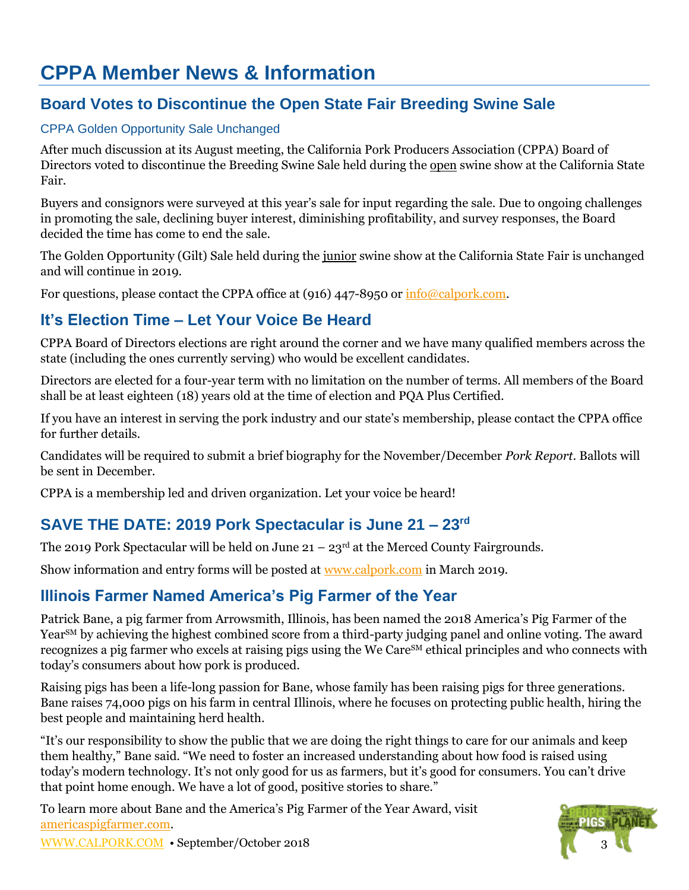## **CPPA Member News & Information**

### **Board Votes to Discontinue the Open State Fair Breeding Swine Sale**

#### CPPA Golden Opportunity Sale Unchanged

After much discussion at its August meeting, the California Pork Producers Association (CPPA) Board of Directors voted to discontinue the Breeding Swine Sale held during the open swine show at the California State Fair.

Buyers and consignors were surveyed at this year's sale for input regarding the sale. Due to ongoing challenges in promoting the sale, declining buyer interest, diminishing profitability, and survey responses, the Board decided the time has come to end the sale.

The Golden Opportunity (Gilt) Sale held during the junior swine show at the California State Fair is unchanged and will continue in 2019.

For questions, please contact the CPPA office at (916) 447-8950 or  $\frac{info@calpork.com}{p}$ .

### **It's Election Time – Let Your Voice Be Heard**

CPPA Board of Directors elections are right around the corner and we have many qualified members across the state (including the ones currently serving) who would be excellent candidates.

Directors are elected for a four-year term with no limitation on the number of terms. All members of the Board shall be at least eighteen (18) years old at the time of election and PQA Plus Certified.

If you have an interest in serving the pork industry and our state's membership, please contact the CPPA office for further details.

Candidates will be required to submit a brief biography for the November/December *Pork Report*. Ballots will be sent in December.

CPPA is a membership led and driven organization. Let your voice be heard!

## **SAVE THE DATE: 2019 Pork Spectacular is June 21 – 23rd**

The 2019 Pork Spectacular will be held on June  $21 - 23$ <sup>rd</sup> at the Merced County Fairgrounds.

Show information and entry forms will be posted at [www.calpork.com](http://www.calpork.com/) in March 2019.

### **Illinois Farmer Named America's Pig Farmer of the Year**

Patrick Bane, a pig farmer from Arrowsmith, Illinois, has been named the 2018 America's Pig Farmer of the Year<sup>SM</sup> by achieving the highest combined score from a third-party judging panel and online voting. The award recognizes a pig farmer who excels at raising pigs using the We Care<sup>SM</sup> ethical principles and who connects with today's consumers about how pork is produced.

Raising pigs has been a life-long passion for Bane, whose family has been raising pigs for three generations. Bane raises 74,000 pigs on his farm in central Illinois, where he focuses on protecting public health, hiring the best people and maintaining herd health.

"It's our responsibility to show the public that we are doing the right things to care for our animals and keep them healthy," Bane said. "We need to foster an increased understanding about how food is raised using today's modern technology. It's not only good for us as farmers, but it's good for consumers. You can't drive that point home enough. We have a lot of good, positive stories to share."

To learn more about Bane and the America's Pig Farmer of the Year Award, visit [americaspigfarmer.com.](https://www.americaspigfarmer.com/)



[WWW.CALPORK.COM](http://www.calpork.com/) • September/October 2018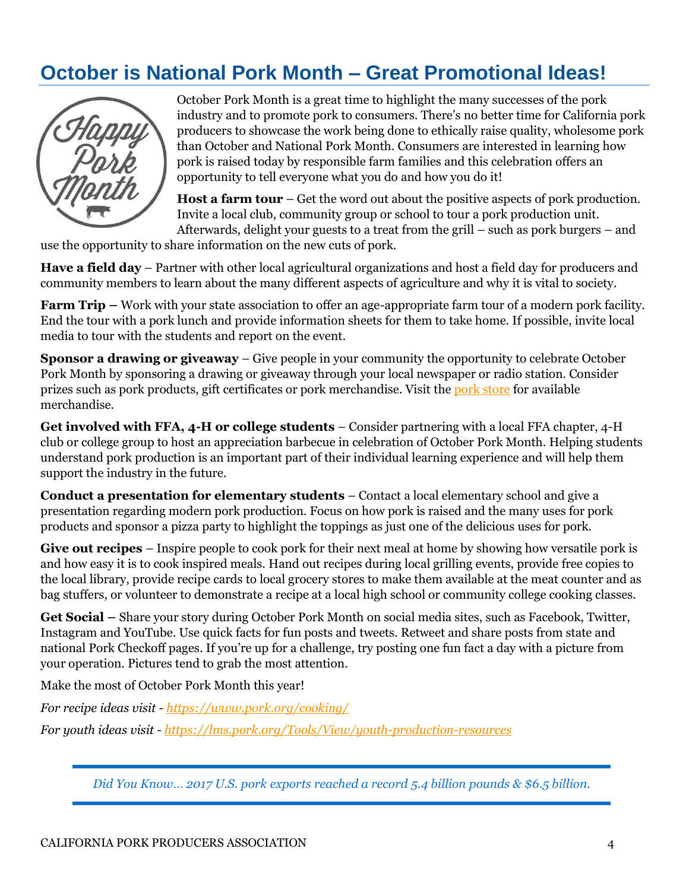## **October is National Pork Month – Great Promotional Ideas!**



October Pork Month is a great time to highlight the many successes of the pork industry and to promote pork to consumers. There's no better time for California pork producers to showcase the work being done to ethically raise quality, wholesome pork than October and National Pork Month. Consumers are interested in learning how pork is raised today by responsible farm families and this celebration offers an opportunity to tell everyone what you do and how you do it!

**Host a farm tour** – Get the word out about the positive aspects of pork production. Invite a local club, community group or school to tour a pork production unit. Afterwards, delight your guests to a treat from the grill – such as pork burgers – and

use the opportunity to share information on the new cuts of pork.

**Have a field day** – Partner with other local agricultural organizations and host a field day for producers and community members to learn about the many different aspects of agriculture and why it is vital to society.

**Farm Trip –** Work with your state association to offer an age-appropriate farm tour of a modern pork facility. End the tour with a pork lunch and provide information sheets for them to take home. If possible, invite local media to tour with the students and report on the event.

**Sponsor a drawing or giveaway** – Give people in your community the opportunity to celebrate October Pork Month by sponsoring a drawing or giveaway through your local newspaper or radio station. Consider prizes such as pork products, gift certificates or pork merchandise. Visit th[e pork store](https://egashops.directedje.com/PorkStoreProducer/catalog.asp) for available merchandise.

**Get involved with FFA, 4-H or college students** – Consider partnering with a local FFA chapter, 4-H club or college group to host an appreciation barbecue in celebration of October Pork Month. Helping students understand pork production is an important part of their individual learning experience and will help them support the industry in the future.

**Conduct a presentation for elementary students** – Contact a local elementary school and give a presentation regarding modern pork production. Focus on how pork is raised and the many uses for pork products and sponsor a pizza party to highlight the toppings as just one of the delicious uses for pork.

**Give out recipes** – Inspire people to cook pork for their next meal at home by showing how versatile pork is and how easy it is to cook inspired meals. Hand out recipes during local grilling events, provide free copies to the local library, provide recipe cards to local grocery stores to make them available at the meat counter and as bag stuffers, or volunteer to demonstrate a recipe at a local high school or community college cooking classes.

**Get Social –** Share your story during October Pork Month on social media sites, such as Facebook, Twitter, Instagram and YouTube. Use quick facts for fun posts and tweets. Retweet and share posts from state and national Pork Checkoff pages. If you're up for a challenge, try posting one fun fact a day with a picture from your operation. Pictures tend to grab the most attention.

Make the most of October Pork Month this year!

*For recipe ideas visit - <https://www.pork.org/cooking/>*

*For youth ideas visit - <https://lms.pork.org/Tools/View/youth-production-resources>*

*Did You Know... 2017 U.S. pork exports reached a record 5.4 billion pounds & \$6.5 billion.*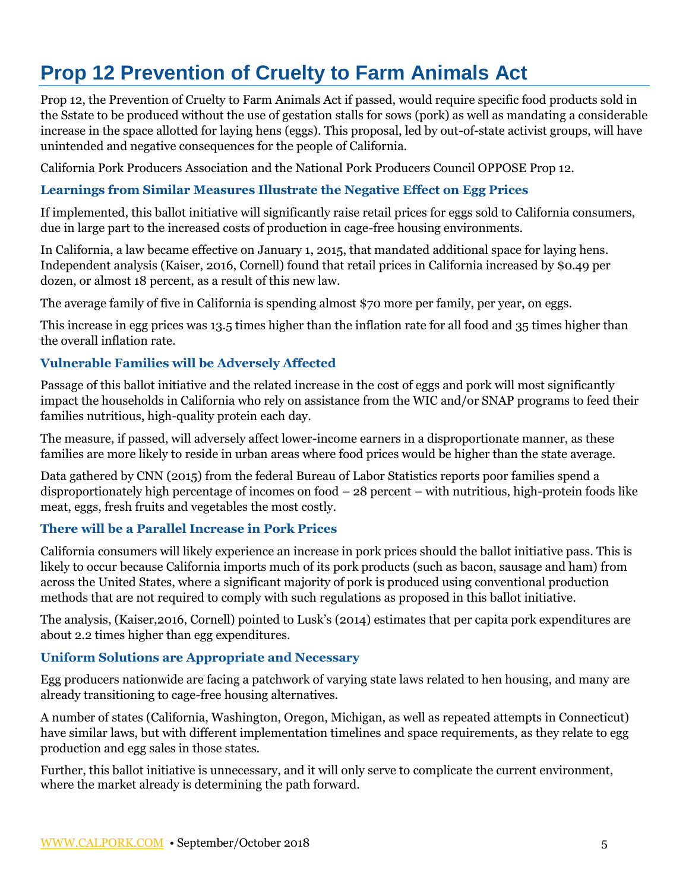## **Prop 12 Prevention of Cruelty to Farm Animals Act**

Prop 12, the Prevention of Cruelty to Farm Animals Act if passed, would require specific food products sold in the Sstate to be produced without the use of gestation stalls for sows (pork) as well as mandating a considerable increase in the space allotted for laying hens (eggs). This proposal, led by out-of-state activist groups, will have unintended and negative consequences for the people of California.

California Pork Producers Association and the National Pork Producers Council OPPOSE Prop 12.

#### **Learnings from Similar Measures Illustrate the Negative Effect on Egg Prices**

If implemented, this ballot initiative will significantly raise retail prices for eggs sold to California consumers, due in large part to the increased costs of production in cage-free housing environments.

In California, a law became effective on January 1, 2015, that mandated additional space for laying hens. Independent analysis (Kaiser, 2016, Cornell) found that retail prices in California increased by \$0.49 per dozen, or almost 18 percent, as a result of this new law.

The average family of five in California is spending almost \$70 more per family, per year, on eggs.

This increase in egg prices was 13.5 times higher than the inflation rate for all food and 35 times higher than the overall inflation rate.

#### **Vulnerable Families will be Adversely Affected**

Passage of this ballot initiative and the related increase in the cost of eggs and pork will most significantly impact the households in California who rely on assistance from the WIC and/or SNAP programs to feed their families nutritious, high-quality protein each day.

The measure, if passed, will adversely affect lower-income earners in a disproportionate manner, as these families are more likely to reside in urban areas where food prices would be higher than the state average.

Data gathered by CNN (2015) from the federal Bureau of Labor Statistics reports poor families spend a disproportionately high percentage of incomes on food – 28 percent – with nutritious, high-protein foods like meat, eggs, fresh fruits and vegetables the most costly.

#### **There will be a Parallel Increase in Pork Prices**

California consumers will likely experience an increase in pork prices should the ballot initiative pass. This is likely to occur because California imports much of its pork products (such as bacon, sausage and ham) from across the United States, where a significant majority of pork is produced using conventional production methods that are not required to comply with such regulations as proposed in this ballot initiative.

The analysis, (Kaiser,2016, Cornell) pointed to Lusk's (2014) estimates that per capita pork expenditures are about 2.2 times higher than egg expenditures.

#### **Uniform Solutions are Appropriate and Necessary**

Egg producers nationwide are facing a patchwork of varying state laws related to hen housing, and many are already transitioning to cage-free housing alternatives.

A number of states (California, Washington, Oregon, Michigan, as well as repeated attempts in Connecticut) have similar laws, but with different implementation timelines and space requirements, as they relate to egg production and egg sales in those states.

Further, this ballot initiative is unnecessary, and it will only serve to complicate the current environment, where the market already is determining the path forward.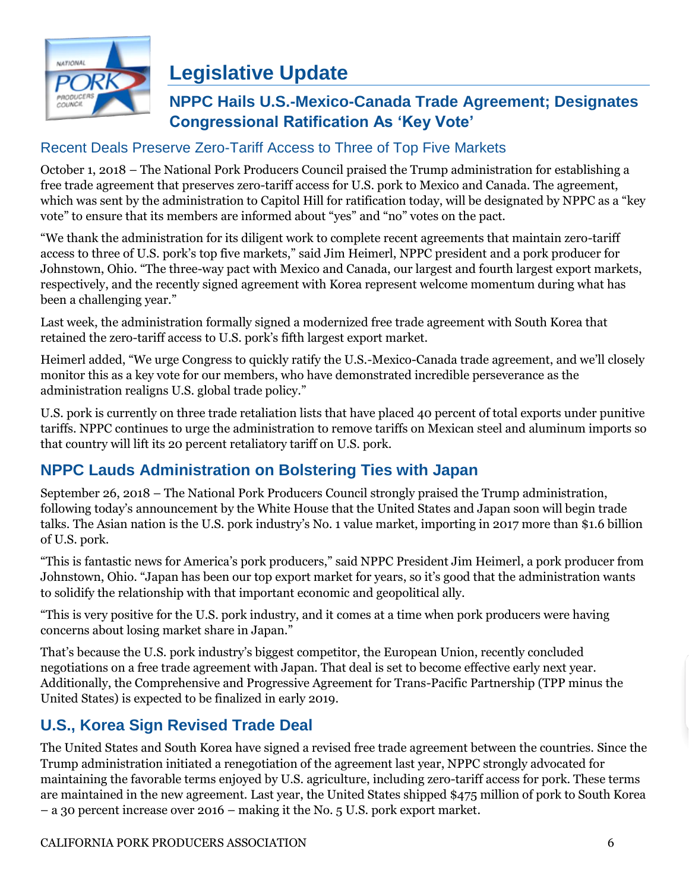

## **Legislative Update**

### **NPPC Hails U.S.-Mexico-Canada Trade Agreement; Designates Congressional Ratification As 'Key Vote'**

### Recent Deals Preserve Zero-Tariff Access to Three of Top Five Markets

October 1, 2018 – The National Pork Producers Council praised the Trump administration for establishing a free trade agreement that preserves zero-tariff access for U.S. pork to Mexico and Canada. The agreement, which was sent by the administration to Capitol Hill for ratification today, will be designated by NPPC as a "key vote" to ensure that its members are informed about "yes" and "no" votes on the pact.

"We thank the administration for its diligent work to complete recent agreements that maintain zero-tariff access to three of U.S. pork's top five markets," said Jim Heimerl, NPPC president and a pork producer for Johnstown, Ohio. "The three-way pact with Mexico and Canada, our largest and fourth largest export markets, respectively, and the recently signed agreement with Korea represent welcome momentum during what has been a challenging year."

Last week, the administration formally signed a modernized free trade agreement with South Korea that retained the zero-tariff access to U.S. pork's fifth largest export market.

Heimerl added, "We urge Congress to quickly ratify the U.S.-Mexico-Canada trade agreement, and we'll closely monitor this as a key vote for our members, who have demonstrated incredible perseverance as the administration realigns U.S. global trade policy."

U.S. pork is currently on three trade retaliation lists that have placed 40 percent of total exports under punitive tariffs. NPPC continues to urge the administration to remove tariffs on Mexican steel and aluminum imports so that country will lift its 20 percent retaliatory tariff on U.S. pork.

## **NPPC Lauds Administration on Bolstering Ties with Japan**

September 26, 2018 – The National Pork Producers Council strongly praised the Trump administration, following today's announcement by the White House that the United States and Japan soon will begin trade talks. The Asian nation is the U.S. pork industry's No. 1 value market, importing in 2017 more than \$1.6 billion of U.S. pork.

"This is fantastic news for America's pork producers," said NPPC President Jim Heimerl, a pork producer from Johnstown, Ohio. "Japan has been our top export market for years, so it's good that the administration wants to solidify the relationship with that important economic and geopolitical ally.

"This is very positive for the U.S. pork industry, and it comes at a time when pork producers were having concerns about losing market share in Japan."

That's because the U.S. pork industry's biggest competitor, the European Union, recently concluded negotiations on a free trade agreement with Japan. That deal is set to become effective early next year. Additionally, the Comprehensive and Progressive Agreement for Trans-Pacific Partnership (TPP minus the United States) is expected to be finalized in early 2019.

## **U.S., Korea Sign Revised Trade Deal**

The United States and South Korea have signed a revised free trade agreement between the countries. Since the Trump administration initiated a renegotiation of the agreement last year, NPPC strongly advocated for maintaining the favorable terms enjoyed by U.S. agriculture, including zero-tariff access for pork. These terms are maintained in the new agreement. Last year, the United States shipped \$475 million of pork to South Korea – a 30 percent increase over 2016 – making it the No. 5 U.S. pork export market.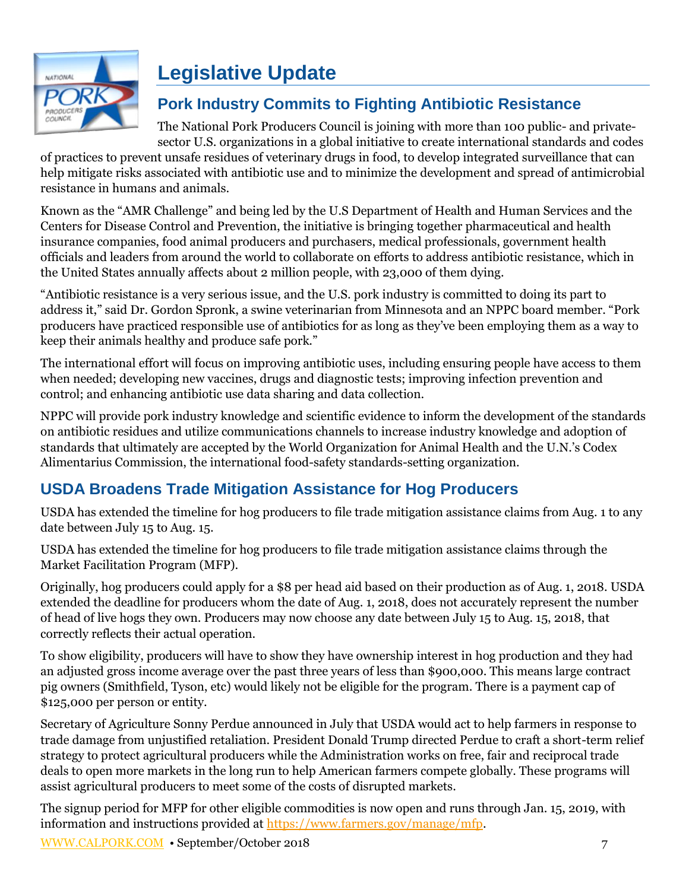

## **Legislative Update**

## **Pork Industry Commits to Fighting Antibiotic Resistance**

The National Pork Producers Council is joining with more than 100 public- and privatesector U.S. organizations in a global initiative to create international standards and codes

of practices to prevent unsafe residues of veterinary drugs in food, to develop integrated surveillance that can help mitigate risks associated with antibiotic use and to minimize the development and spread of antimicrobial resistance in humans and animals.

Known as the "AMR Challenge" and being led by the U.S Department of Health and Human Services and the Centers for Disease Control and Prevention, the initiative is bringing together pharmaceutical and health insurance companies, food animal producers and purchasers, medical professionals, government health officials and leaders from around the world to collaborate on efforts to address antibiotic resistance, which in the United States annually affects about 2 million people, with 23,000 of them dying.

"Antibiotic resistance is a very serious issue, and the U.S. pork industry is committed to doing its part to address it," said Dr. Gordon Spronk, a swine veterinarian from Minnesota and an NPPC board member. "Pork producers have practiced responsible use of antibiotics for as long as they've been employing them as a way to keep their animals healthy and produce safe pork."

The international effort will focus on improving antibiotic uses, including ensuring people have access to them when needed; developing new vaccines, drugs and diagnostic tests; improving infection prevention and control; and enhancing antibiotic use data sharing and data collection.

NPPC will provide pork industry knowledge and scientific evidence to inform the development of the standards on antibiotic residues and utilize communications channels to increase industry knowledge and adoption of standards that ultimately are accepted by the World Organization for Animal Health and the U.N.'s Codex Alimentarius Commission, the international food-safety standards-setting organization.

## **USDA Broadens Trade Mitigation Assistance for Hog Producers**

USDA has extended the timeline for hog producers to file trade mitigation assistance claims from Aug. 1 to any date between July 15 to Aug. 15.

USDA has extended the timeline for hog producers to file trade mitigation assistance claims through the Market Facilitation Program (MFP).

Originally, hog producers could apply for a \$8 per head aid based on their production as of Aug. 1, 2018. USDA extended the deadline for producers whom the date of Aug. 1, 2018, does not accurately represent the number of head of live hogs they own. Producers may now choose any date between July 15 to Aug. 15, 2018, that correctly reflects their actual operation.

To show eligibility, producers will have to show they have ownership interest in hog production and they had an adjusted gross income average over the past three years of less than \$900,000. This means large contract pig owners (Smithfield, Tyson, etc) would likely not be eligible for the program. There is a payment cap of \$125,000 per person or entity.

Secretary of Agriculture Sonny Perdue announced in July that USDA would act to help farmers in response to trade damage from unjustified retaliation. President Donald Trump directed Perdue to craft a short-term relief strategy to protect agricultural producers while the Administration works on free, fair and reciprocal trade deals to open more markets in the long run to help American farmers compete globally. These programs will assist agricultural producers to meet some of the costs of disrupted markets.

The signup period for MFP for other eligible commodities is now open and runs through Jan. 15, 2019, with information and instructions provided at [https://www.farmers.gov/manage/mfp.](https://www.farmers.gov/manage/mfp)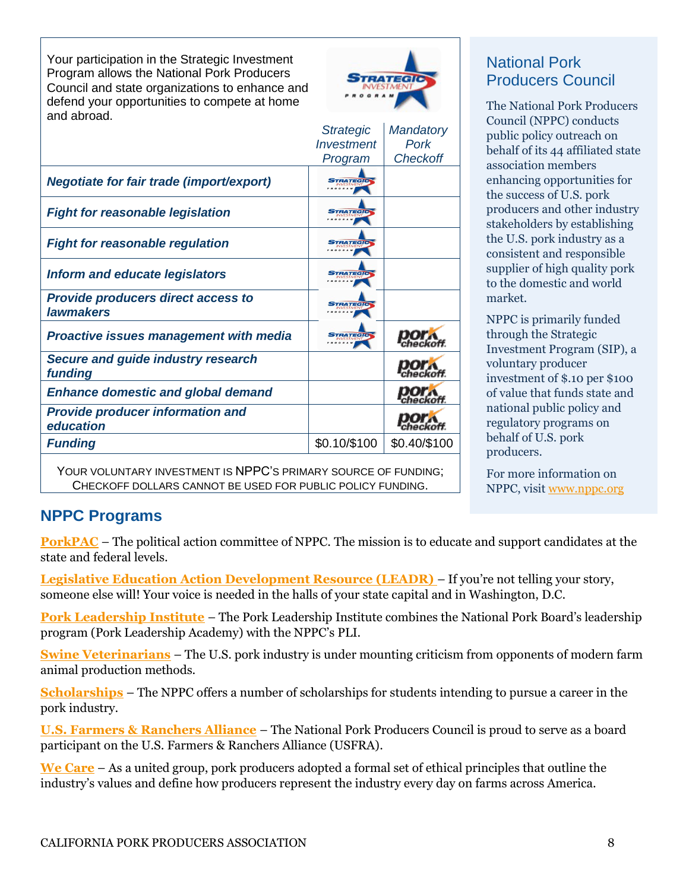Your participation in the Strategic Investment Program allows the National Pork Producers Council and state organizations to enhance and defend your opportunities to compete at home and abroad.



| anu abioau.                                                   |                   |                 |
|---------------------------------------------------------------|-------------------|-----------------|
|                                                               | <b>Strategic</b>  | Mandatory       |
|                                                               | <b>Investment</b> | Pork            |
|                                                               | Program           | <b>Checkoff</b> |
| <b>Negotiate for fair trade (import/export)</b>               | <b>STRATEGIC</b>  |                 |
| <b>Fight for reasonable legislation</b>                       | <b>STRATEGIC</b>  |                 |
| <b>Fight for reasonable regulation</b>                        | <b>STRATEGIO</b>  |                 |
| <b>Inform and educate legislators</b>                         | <b>STRATEGIO</b>  |                 |
| <b>Provide producers direct access to</b><br><b>lawmakers</b> | <b>TRATEGIC</b>   |                 |
| <b>Proactive issues management with media</b>                 | <b>TRATEGIL</b>   |                 |
| <b>Secure and guide industry research</b><br>funding          |                   |                 |
| <b>Enhance domestic and global demand</b>                     |                   |                 |
| <b>Provide producer information and</b><br>education          |                   |                 |
| <b>Funding</b>                                                | \$0.10/\$100      | \$0.40/\$100    |
|                                                               |                   |                 |

YOUR VOLUNTARY INVESTMENT IS NPPC'S PRIMARY SOURCE OF FUNDING; CHECKOFF DOLLARS CANNOT BE USED FOR PUBLIC POLICY FUNDING.

### National Pork Producers Council

The National Pork Producers Council (NPPC) conducts public policy outreach on behalf of its 44 affiliated state association members enhancing opportunities for the success of U.S. pork producers and other industry stakeholders by establishing the U.S. pork industry as a consistent and responsible supplier of high quality pork to the domestic and world market.

NPPC is primarily funded through the Strategic Investment Program (SIP), a voluntary producer investment of \$.10 per \$100 of value that funds state and national public policy and regulatory programs on behalf of U.S. pork producers.

For more information on NPPC, visit [www.nppc.org](http://www.nppc.org/)

### **NPPC Programs**

**[PorkPAC](http://nppc.org/programs/pork-pac/)** – The political action committee of NPPC. The mission is to educate and support candidates at the state and federal levels.

[Legislative Education Action Development Resource \(LEADR\)](http://nppc.org/programs/leadr/) – If you're not telling your story, someone else will! Your voice is needed in the halls of your state capital and in Washington, D.C.

**[Pork Leadership Institute](http://nppc.org/programs/pork-leadership-institute/)** – The Pork Leadership Institute combines the National Pork Board's leadership program (Pork Leadership Academy) with the NPPC's PLI.

**[Swine Veterinarians](http://nppc.org/programs/sine-veterinary-public-policy-advocacy/)** – The U.S. pork industry is under mounting criticism from opponents of modern farm animal production methods.

**[Scholarships](http://nppc.org/programs/scholarships/)** – The NPPC offers a number of scholarships for students intending to pursue a career in the pork industry.

**[U.S. Farmers & Ranchers Alliance](http://www.fooddialogues.com/)** – The National Pork Producers Council is proud to serve as a board participant on the U.S. Farmers & Ranchers Alliance (USFRA).

**[We Care](http://nppc.org/about-us/we-care/)** – As a united group, pork producers adopted a formal set of ethical principles that outline the industry's values and define how producers represent the industry every day on farms across America.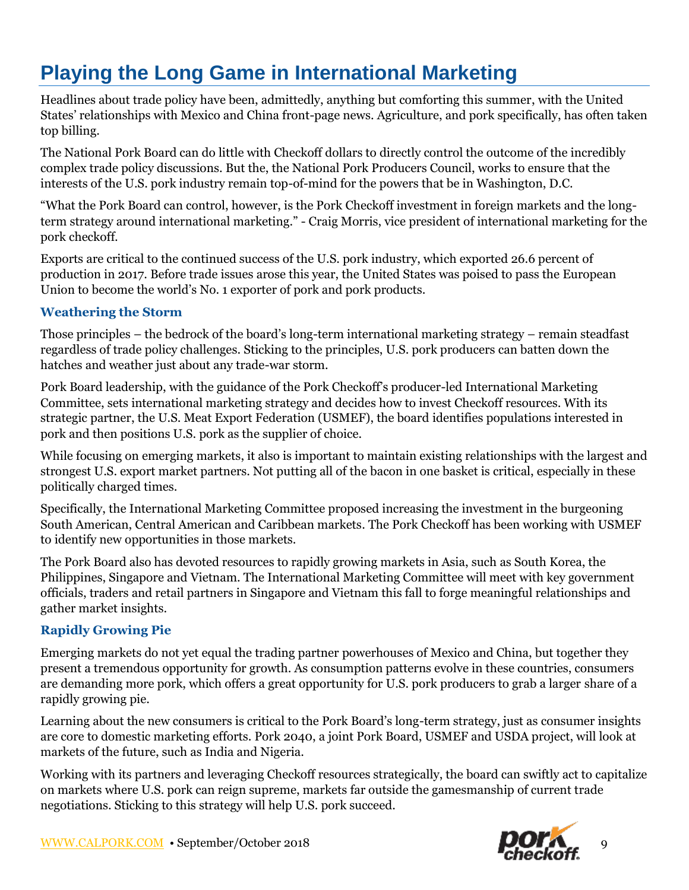## **Playing the Long Game in International Marketing**

Headlines about trade policy have been, admittedly, anything but comforting this summer, with the United States' relationships with Mexico and China front-page news. Agriculture, and pork specifically, has often taken top billing.

The National Pork Board can do little with Checkoff dollars to directly control the outcome of the incredibly complex trade policy discussions. But the, the National Pork Producers Council, works to ensure that the interests of the U.S. pork industry remain top-of-mind for the powers that be in Washington, D.C.

"What the Pork Board can control, however, is the Pork Checkoff investment in foreign markets and the longterm strategy around international marketing." - Craig Morris, vice president of international marketing for the pork checkoff.

Exports are critical to the continued success of the U.S. pork industry, which exported 26.6 percent of production in 2017. Before trade issues arose this year, the United States was poised to pass the European Union to become the world's No. 1 exporter of pork and pork products.

#### **Weathering the Storm**

Those principles – the bedrock of the board's long-term international marketing strategy – remain steadfast regardless of trade policy challenges. Sticking to the principles, U.S. pork producers can batten down the hatches and weather just about any trade-war storm.

Pork Board leadership, with the guidance of the Pork Checkoff's producer-led International Marketing Committee, sets international marketing strategy and decides how to invest Checkoff resources. With its strategic partner, the U.S. Meat Export Federation (USMEF), the board identifies populations interested in pork and then positions U.S. pork as the supplier of choice.

While focusing on emerging markets, it also is important to maintain existing relationships with the largest and strongest U.S. export market partners. Not putting all of the bacon in one basket is critical, especially in these politically charged times.

Specifically, the International Marketing Committee proposed increasing the investment in the burgeoning South American, Central American and Caribbean markets. The Pork Checkoff has been working with USMEF to identify new opportunities in those markets.

The Pork Board also has devoted resources to rapidly growing markets in Asia, such as South Korea, the Philippines, Singapore and Vietnam. The International Marketing Committee will meet with key government officials, traders and retail partners in Singapore and Vietnam this fall to forge meaningful relationships and gather market insights.

#### **Rapidly Growing Pie**

Emerging markets do not yet equal the trading partner powerhouses of Mexico and China, but together they present a tremendous opportunity for growth. As consumption patterns evolve in these countries, consumers are demanding more pork, which offers a great opportunity for U.S. pork producers to grab a larger share of a rapidly growing pie.

Learning about the new consumers is critical to the Pork Board's long-term strategy, just as consumer insights are core to domestic marketing efforts. Pork 2040, a joint Pork Board, USMEF and USDA project, will look at markets of the future, such as India and Nigeria.

Working with its partners and leveraging Checkoff resources strategically, the board can swiftly act to capitalize on markets where U.S. pork can reign supreme, markets far outside the gamesmanship of current trade negotiations. Sticking to this strategy will help U.S. pork succeed.

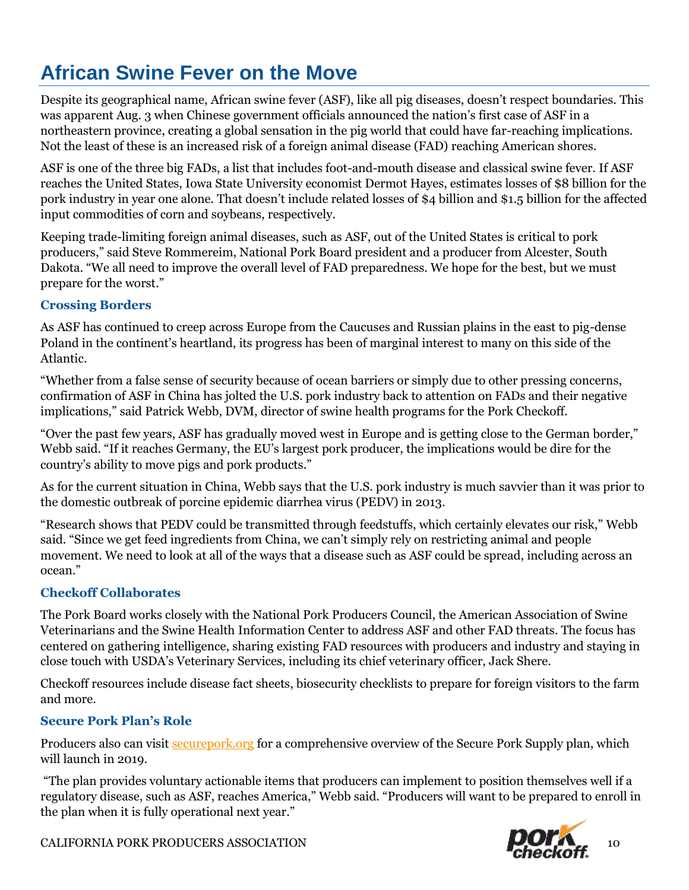## **African Swine Fever on the Move**

Despite its geographical name, African swine fever (ASF), like all pig diseases, doesn't respect boundaries. This was apparent Aug. 3 when Chinese government officials announced the nation's first case of ASF in a northeastern province, creating a global sensation in the pig world that could have far-reaching implications. Not the least of these is an increased risk of a foreign animal disease (FAD) reaching American shores.

ASF is one of the three big FADs, a list that includes foot-and-mouth disease and classical swine fever. If ASF reaches the United States, Iowa State University economist Dermot Hayes, estimates losses of \$8 billion for the pork industry in year one alone. That doesn't include related losses of \$4 billion and \$1.5 billion for the affected input commodities of corn and soybeans, respectively.

Keeping trade-limiting foreign animal diseases, such as ASF, out of the United States is critical to pork producers," said Steve Rommereim, National Pork Board president and a producer from Alcester, South Dakota. "We all need to improve the overall level of FAD preparedness. We hope for the best, but we must prepare for the worst."

#### **Crossing Borders**

As ASF has continued to creep across Europe from the Caucuses and Russian plains in the east to pig-dense Poland in the continent's heartland, its progress has been of marginal interest to many on this side of the Atlantic.

"Whether from a false sense of security because of ocean barriers or simply due to other pressing concerns, confirmation of ASF in China has jolted the U.S. pork industry back to attention on FADs and their negative implications," said Patrick Webb, DVM, director of swine health programs for the Pork Checkoff.

"Over the past few years, ASF has gradually moved west in Europe and is getting close to the German border," Webb said. "If it reaches Germany, the EU's largest pork producer, the implications would be dire for the country's ability to move pigs and pork products."

As for the current situation in China, Webb says that the U.S. pork industry is much savvier than it was prior to the domestic outbreak of porcine epidemic diarrhea virus (PEDV) in 2013.

"Research shows that PEDV could be transmitted through feedstuffs, which certainly elevates our risk," Webb said. "Since we get feed ingredients from China, we can't simply rely on restricting animal and people movement. We need to look at all of the ways that a disease such as ASF could be spread, including across an ocean."

#### **Checkoff Collaborates**

The Pork Board works closely with the National Pork Producers Council, the American Association of Swine Veterinarians and the Swine Health Information Center to address ASF and other FAD threats. The focus has centered on gathering intelligence, sharing existing FAD resources with producers and industry and staying in close touch with USDA's Veterinary Services, including its chief veterinary officer, Jack Shere.

Checkoff resources include disease fact sheets, biosecurity checklists to prepare for foreign visitors to the farm and more.

#### **Secure Pork Plan's Role**

Producers also can visit [securepork.org](http://www.securepork.org/) for a comprehensive overview of the Secure Pork Supply plan, which will launch in 2019.

"The plan provides voluntary actionable items that producers can implement to position themselves well if a regulatory disease, such as ASF, reaches America," Webb said. "Producers will want to be prepared to enroll in the plan when it is fully operational next year."



CALIFORNIA PORK PRODUCERS ASSOCIATION 10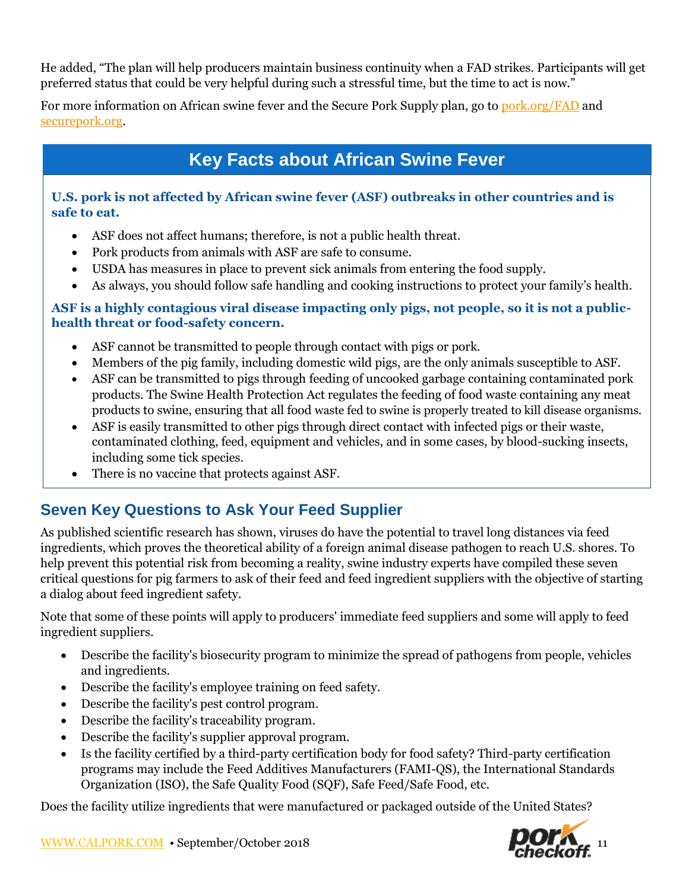He added, "The plan will help producers maintain business continuity when a FAD strikes. Participants will get preferred status that could be very helpful during such a stressful time, but the time to act is now."

For more information on African swine fever and the Secure Pork Supply plan, go to [pork.org/FAD](https://www.pork.org/production/animal-disease/foreign-animal-disease-resources/) and [securepork.org.](http://www.securepork.org/)

## **Key Facts about African Swine Fever**

#### **U.S. pork is not affected by African swine fever (ASF) outbreaks in other countries and is safe to eat.**

- ASF does not affect humans; therefore, is not a public health threat.
- Pork products from animals with ASF are safe to consume.
- USDA has measures in place to prevent sick animals from entering the food supply.
- As always, you should follow safe handling and cooking instructions to protect your family's health.

#### **ASF is a highly contagious viral disease impacting only pigs, not people, so it is not a publichealth threat or food-safety concern.**

- ASF cannot be transmitted to people through contact with pigs or pork.
- Members of the pig family, including domestic wild pigs, are the only animals susceptible to ASF.
- ASF can be transmitted to pigs through feeding of uncooked garbage containing contaminated pork products. The Swine Health Protection Act regulates the feeding of food waste containing any meat products to swine, ensuring that all food waste fed to swine is properly treated to kill disease organisms.
- ASF is easily transmitted to other pigs through direct contact with infected pigs or their waste, contaminated clothing, feed, equipment and vehicles, and in some cases, by blood-sucking insects, including some tick species.
- There is no vaccine that protects against ASF.

## **Seven Key Questions to Ask Your Feed Supplier**

As published scientific research has shown, viruses do have the potential to travel long distances via feed ingredients, which proves the theoretical ability of a foreign animal disease pathogen to reach U.S. shores. To help prevent this potential risk from becoming a reality, swine industry experts have compiled these seven critical questions for pig farmers to ask of their feed and feed ingredient suppliers with the objective of starting a dialog about feed ingredient safety.

Note that some of these points will apply to producers' immediate feed suppliers and some will apply to feed ingredient suppliers.

- Describe the facility's biosecurity program to minimize the spread of pathogens from people, vehicles and ingredients.
- Describe the facility's employee training on feed safety.
- Describe the facility's pest control program.
- Describe the facility's traceability program.
- Describe the facility's supplier approval program.
- Is the facility certified by a third-party certification body for food safety? Third-party certification programs may include the Feed Additives Manufacturers (FAMI-QS), the International Standards Organization (ISO), the Safe Quality Food (SQF), Safe Feed/Safe Food, etc.

Does the facility utilize ingredients that were manufactured or packaged outside of the United States?

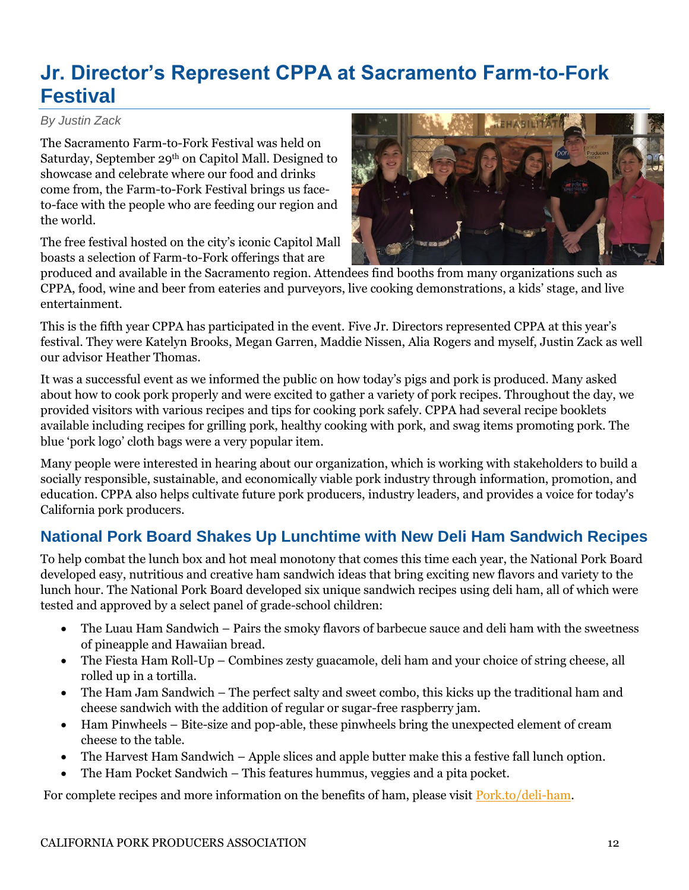## **Jr. Director's Represent CPPA at Sacramento Farm-to-Fork Festival**

*By Justin Zack*

The Sacramento Farm-to-Fork Festival was held on Saturday, September 29<sup>th</sup> on Capitol Mall. Designed to showcase and celebrate where our food and drinks come from, the Farm-to-Fork Festival brings us faceto-face with the people who are feeding our region and the world.

The free festival hosted on the city's iconic Capitol Mall boasts a selection of Farm-to-Fork offerings that are



produced and available in the Sacramento region. Attendees find booths from many organizations such as CPPA, food, wine and beer from eateries and purveyors, live cooking demonstrations, a kids' stage, and live entertainment.

This is the fifth year CPPA has participated in the event. Five Jr. Directors represented CPPA at this year's festival. They were Katelyn Brooks, Megan Garren, Maddie Nissen, Alia Rogers and myself, Justin Zack as well our advisor Heather Thomas.

It was a successful event as we informed the public on how today's pigs and pork is produced. Many asked about how to cook pork properly and were excited to gather a variety of pork recipes. Throughout the day, we provided visitors with various recipes and tips for cooking pork safely. CPPA had several recipe booklets available including recipes for grilling pork, healthy cooking with pork, and swag items promoting pork. The blue 'pork logo' cloth bags were a very popular item.

Many people were interested in hearing about our organization, which is working with stakeholders to build a socially responsible, sustainable, and economically viable pork industry through information, promotion, and education. CPPA also helps cultivate future pork producers, industry leaders, and provides a voice for today's California pork producers.

### **National Pork Board Shakes Up Lunchtime with New Deli Ham Sandwich Recipes**

To help combat the lunch box and hot meal monotony that comes this time each year, the National Pork Board developed easy, nutritious and creative ham sandwich ideas that bring exciting new flavors and variety to the lunch hour. The National Pork Board developed six unique sandwich recipes using deli ham, all of which were tested and approved by a select panel of grade-school children:

- The Luau Ham Sandwich Pairs the smoky flavors of barbecue sauce and deli ham with the sweetness of pineapple and Hawaiian bread.
- The Fiesta Ham Roll-Up Combines zesty guacamole, deli ham and your choice of string cheese, all rolled up in a tortilla.
- The Ham Jam Sandwich The perfect salty and sweet combo, this kicks up the traditional ham and cheese sandwich with the addition of regular or sugar-free raspberry jam.
- Ham Pinwheels Bite-size and pop-able, these pinwheels bring the unexpected element of cream cheese to the table.
- The Harvest Ham Sandwich Apple slices and apple butter make this a festive fall lunch option.
- The Ham Pocket Sandwich This features hummus, veggies and a pita pocket.

For complete recipes and more information on the benefits of ham, please visit **Pork.to/deli-ham.**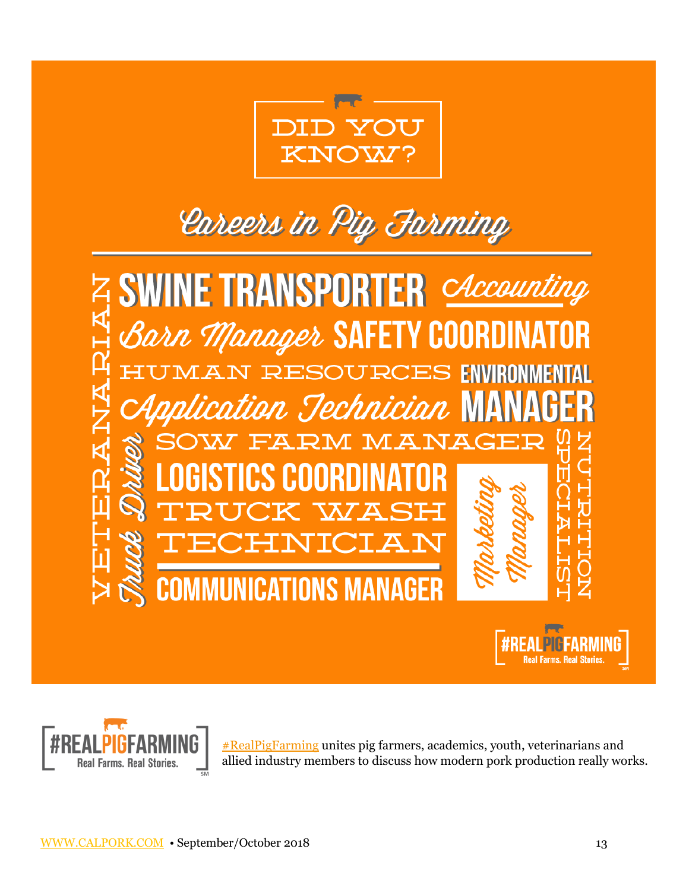

# Careers in Pig Farming





[#RealPigFarming](https://realpigfarming.com/) unites pig farmers, academics, youth, veterinarians and allied industry members to discuss how modern pork production really works.

**Real Farms, Real Stories**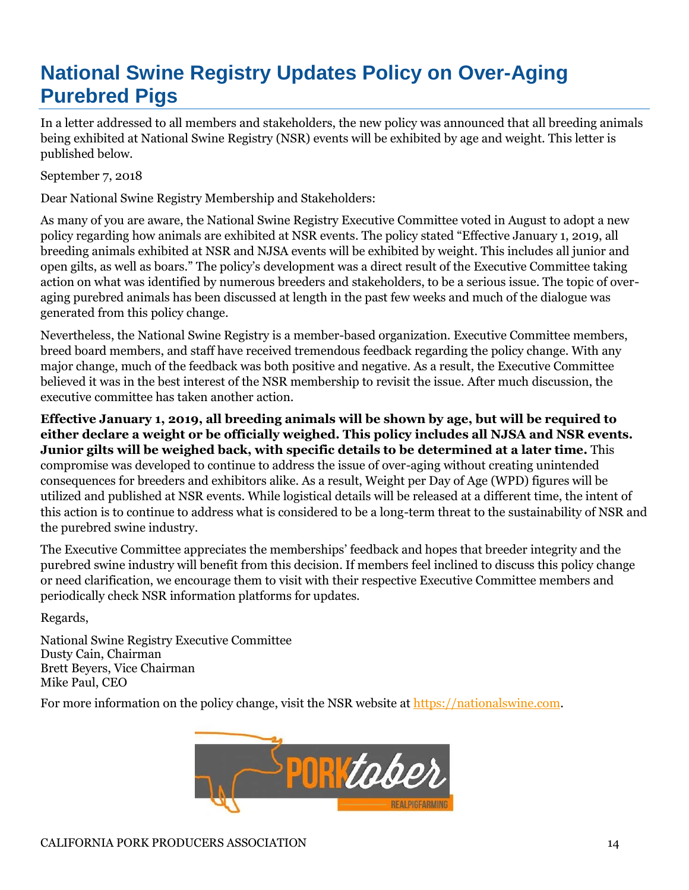## **National Swine Registry Updates Policy on Over-Aging Purebred Pigs**

In a letter addressed to all members and stakeholders, the new policy was announced that all breeding animals being exhibited at National Swine Registry (NSR) events will be exhibited by age and weight. This letter is published below.

September 7, 2018

Dear National Swine Registry Membership and Stakeholders:

As many of you are aware, the National Swine Registry Executive Committee voted in August to adopt a new policy regarding how animals are exhibited at NSR events. The policy stated "Effective January 1, 2019, all breeding animals exhibited at NSR and NJSA events will be exhibited by weight. This includes all junior and open gilts, as well as boars." The policy's development was a direct result of the Executive Committee taking action on what was identified by numerous breeders and stakeholders, to be a serious issue. The topic of overaging purebred animals has been discussed at length in the past few weeks and much of the dialogue was generated from this policy change.

Nevertheless, the National Swine Registry is a member-based organization. Executive Committee members, breed board members, and staff have received tremendous feedback regarding the policy change. With any major change, much of the feedback was both positive and negative. As a result, the Executive Committee believed it was in the best interest of the NSR membership to revisit the issue. After much discussion, the executive committee has taken another action.

**Effective January 1, 2019, all breeding animals will be shown by age, but will be required to either declare a weight or be officially weighed. This policy includes all NJSA and NSR events. Junior gilts will be weighed back, with specific details to be determined at a later time.** This compromise was developed to continue to address the issue of over-aging without creating unintended consequences for breeders and exhibitors alike. As a result, Weight per Day of Age (WPD) figures will be utilized and published at NSR events. While logistical details will be released at a different time, the intent of this action is to continue to address what is considered to be a long-term threat to the sustainability of NSR and the purebred swine industry.

The Executive Committee appreciates the memberships' feedback and hopes that breeder integrity and the purebred swine industry will benefit from this decision. If members feel inclined to discuss this policy change or need clarification, we encourage them to visit with their respective Executive Committee members and periodically check NSR information platforms for updates.

Regards,

National Swine Registry Executive Committee Dusty Cain, Chairman Brett Beyers, Vice Chairman Mike Paul, CEO

For more information on the policy change, visit the NSR website at [https://nationalswine.com.](https://nationalswine.com/)

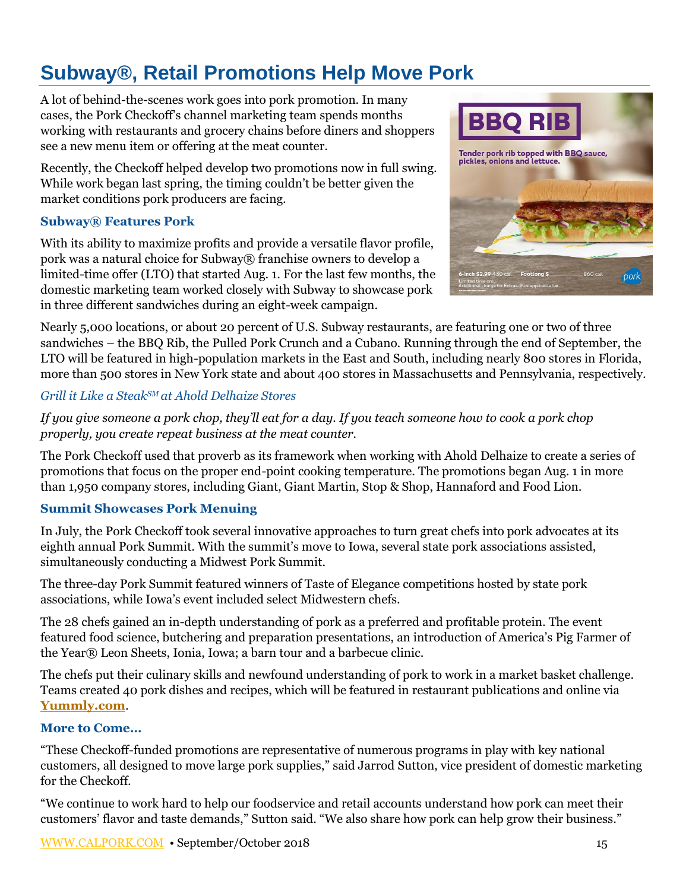## **Subway®, Retail Promotions Help Move Pork**

A lot of behind-the-scenes work goes into pork promotion. In many cases, the Pork Checkoff's channel marketing team spends months working with restaurants and grocery chains before diners and shoppers see a new menu item or offering at the meat counter.

Recently, the Checkoff helped develop two promotions now in full swing. While work began last spring, the timing couldn't be better given the market conditions pork producers are facing.

#### **Subway® Features Pork**

With its ability to maximize profits and provide a versatile flavor profile, pork was a natural choice for Subway® franchise owners to develop a limited-time offer (LTO) that started Aug. 1. For the last few months, the domestic marketing team worked closely with Subway to showcase pork in three different sandwiches during an eight-week campaign.



Nearly 5,000 locations, or about 20 percent of U.S. Subway restaurants, are featuring one or two of three sandwiches – the BBQ Rib, the Pulled Pork Crunch and a Cubano. Running through the end of September, the LTO will be featured in high-population markets in the East and South, including nearly 800 stores in Florida, more than 500 stores in New York state and about 400 stores in Massachusetts and Pennsylvania, respectively.

#### *Grill it Like a SteakSM at Ahold Delhaize Stores*

*If you give someone a pork chop, they'll eat for a day. If you teach someone how to cook a pork chop properly, you create repeat business at the meat counter.*

The Pork Checkoff used that proverb as its framework when working with Ahold Delhaize to create a series of promotions that focus on the proper end-point cooking temperature. The promotions began Aug. 1 in more than 1,950 company stores, including Giant, Giant Martin, Stop & Shop, Hannaford and Food Lion.

#### **Summit Showcases Pork Menuing**

In July, the Pork Checkoff took several innovative approaches to turn great chefs into pork advocates at its eighth annual Pork Summit. With the summit's move to Iowa, several state pork associations assisted, simultaneously conducting a Midwest Pork Summit.

The three-day Pork Summit featured winners of Taste of Elegance competitions hosted by state pork associations, while Iowa's event included select Midwestern chefs.

The 28 chefs gained an in-depth understanding of pork as a preferred and profitable protein. The event featured food science, butchering and preparation presentations, an introduction of America's Pig Farmer of the Year® Leon Sheets, Ionia, Iowa; a barn tour and a barbecue clinic.

The chefs put their culinary skills and newfound understanding of pork to work in a market basket challenge. Teams created 40 pork dishes and recipes, which will be featured in restaurant publications and online via **[Yummly.com](https://www.yummly.com/)**.

#### **More to Come…**

"These Checkoff-funded promotions are representative of numerous programs in play with key national customers, all designed to move large pork supplies," said Jarrod Sutton, vice president of domestic marketing for the Checkoff.

"We continue to work hard to help our foodservice and retail accounts understand how pork can meet their customers' flavor and taste demands," Sutton said. "We also share how pork can help grow their business."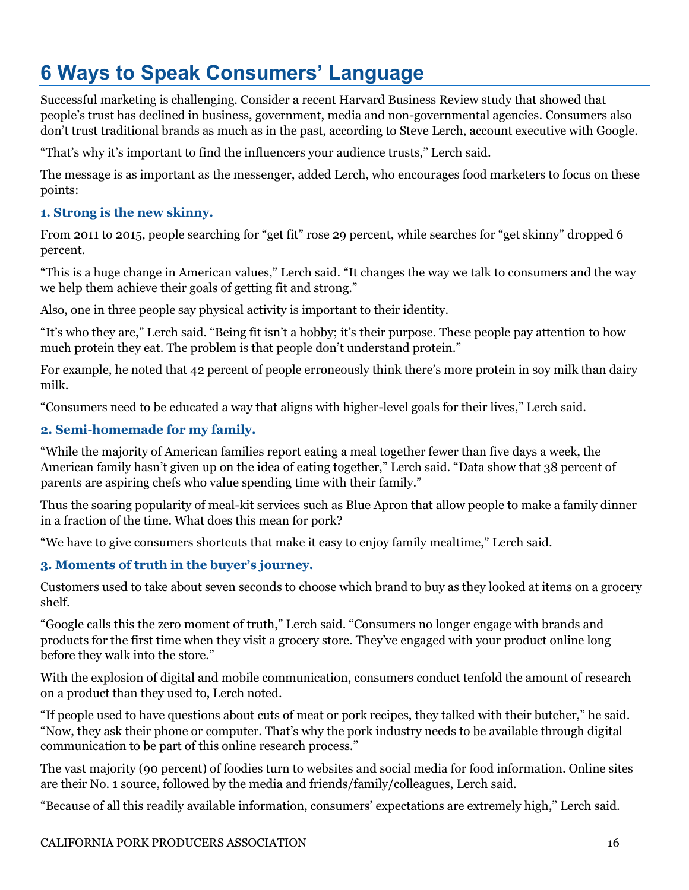## **6 Ways to Speak Consumers' Language**

Successful marketing is challenging. Consider a recent Harvard Business Review study that showed that people's trust has declined in business, government, media and non-governmental agencies. Consumers also don't trust traditional brands as much as in the past, according to Steve Lerch, account executive with Google.

"That's why it's important to find the influencers your audience trusts," Lerch said.

The message is as important as the messenger, added Lerch, who encourages food marketers to focus on these points:

#### **1. Strong is the new skinny.**

From 2011 to 2015, people searching for "get fit" rose 29 percent, while searches for "get skinny" dropped 6 percent.

"This is a huge change in American values," Lerch said. "It changes the way we talk to consumers and the way we help them achieve their goals of getting fit and strong."

Also, one in three people say physical activity is important to their identity.

"It's who they are," Lerch said. "Being fit isn't a hobby; it's their purpose. These people pay attention to how much protein they eat. The problem is that people don't understand protein."

For example, he noted that 42 percent of people erroneously think there's more protein in soy milk than dairy milk.

"Consumers need to be educated a way that aligns with higher-level goals for their lives," Lerch said.

#### **2. Semi-homemade for my family.**

"While the majority of American families report eating a meal together fewer than five days a week, the American family hasn't given up on the idea of eating together," Lerch said. "Data show that 38 percent of parents are aspiring chefs who value spending time with their family."

Thus the soaring popularity of meal-kit services such as Blue Apron that allow people to make a family dinner in a fraction of the time. What does this mean for pork?

"We have to give consumers shortcuts that make it easy to enjoy family mealtime," Lerch said.

#### **3. Moments of truth in the buyer's journey.**

Customers used to take about seven seconds to choose which brand to buy as they looked at items on a grocery shelf.

"Google calls this the zero moment of truth," Lerch said. "Consumers no longer engage with brands and products for the first time when they visit a grocery store. They've engaged with your product online long before they walk into the store."

With the explosion of digital and mobile communication, consumers conduct tenfold the amount of research on a product than they used to, Lerch noted.

"If people used to have questions about cuts of meat or pork recipes, they talked with their butcher," he said. "Now, they ask their phone or computer. That's why the pork industry needs to be available through digital communication to be part of this online research process."

The vast majority (90 percent) of foodies turn to websites and social media for food information. Online sites are their No. 1 source, followed by the media and friends/family/colleagues, Lerch said.

"Because of all this readily available information, consumers' expectations are extremely high," Lerch said.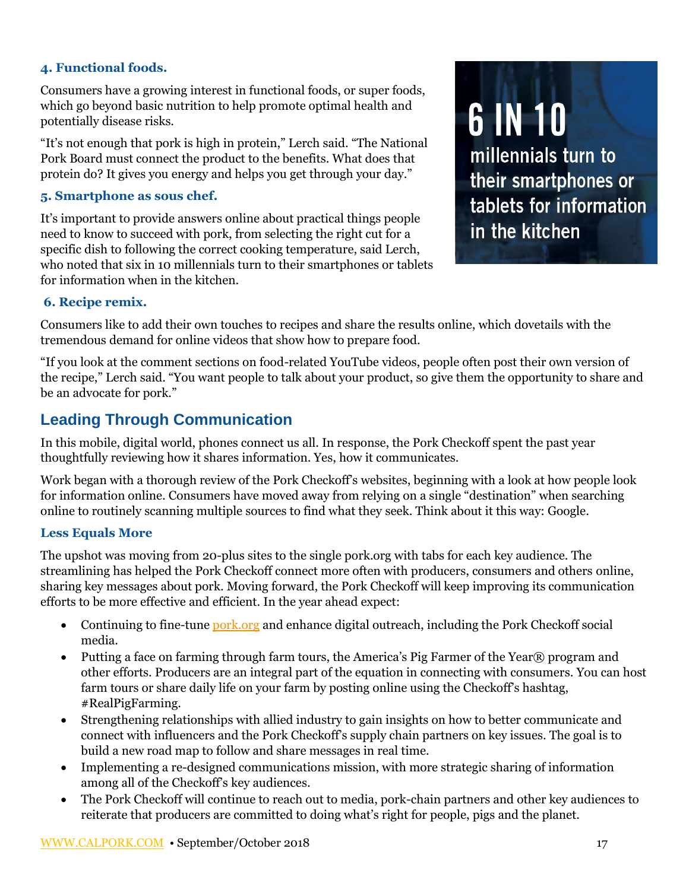#### **4. Functional foods.**

Consumers have a growing interest in functional foods, or super foods, which go beyond basic nutrition to help promote optimal health and potentially disease risks.

"It's not enough that pork is high in protein," Lerch said. "The National Pork Board must connect the product to the benefits. What does that protein do? It gives you energy and helps you get through your day."

#### **5. Smartphone as sous chef.**

It's important to provide answers online about practical things people need to know to succeed with pork, from selecting the right cut for a specific dish to following the correct cooking temperature, said Lerch, who noted that six in 10 millennials turn to their smartphones or tablets for information when in the kitchen.

## 6 IN 10 millennials turn to their smartphones or tablets for information in the kitchen

#### **6. Recipe remix.**

Consumers like to add their own touches to recipes and share the results online, which dovetails with the tremendous demand for online videos that show how to prepare food.

"If you look at the comment sections on food-related YouTube videos, people often post their own version of the recipe," Lerch said. "You want people to talk about your product, so give them the opportunity to share and be an advocate for pork."

### **Leading Through Communication**

In this mobile, digital world, phones connect us all. In response, the Pork Checkoff spent the past year thoughtfully reviewing how it shares information. Yes, how it communicates.

Work began with a thorough review of the Pork Checkoff's websites, beginning with a look at how people look for information online. Consumers have moved away from relying on a single "destination" when searching online to routinely scanning multiple sources to find what they seek. Think about it this way: Google.

#### **Less Equals More**

The upshot was moving from 20-plus sites to the single pork.org with tabs for each key audience. The streamlining has helped the Pork Checkoff connect more often with producers, consumers and others online, sharing key messages about pork. Moving forward, the Pork Checkoff will keep improving its communication efforts to be more effective and efficient. In the year ahead expect:

- Continuing to fine-tune [pork.org](https://www.pork.org/) and enhance digital outreach, including the Pork Checkoff social media.
- Putting a face on farming through farm tours, the America's Pig Farmer of the Year® program and other efforts. Producers are an integral part of the equation in connecting with consumers. You can host farm tours or share daily life on your farm by posting online using the Checkoff's hashtag, #RealPigFarming.
- Strengthening relationships with allied industry to gain insights on how to better communicate and connect with influencers and the Pork Checkoff's supply chain partners on key issues. The goal is to build a new road map to follow and share messages in real time.
- Implementing a re-designed communications mission, with more strategic sharing of information among all of the Checkoff's key audiences.
- The Pork Checkoff will continue to reach out to media, pork-chain partners and other key audiences to reiterate that producers are committed to doing what's right for people, pigs and the planet.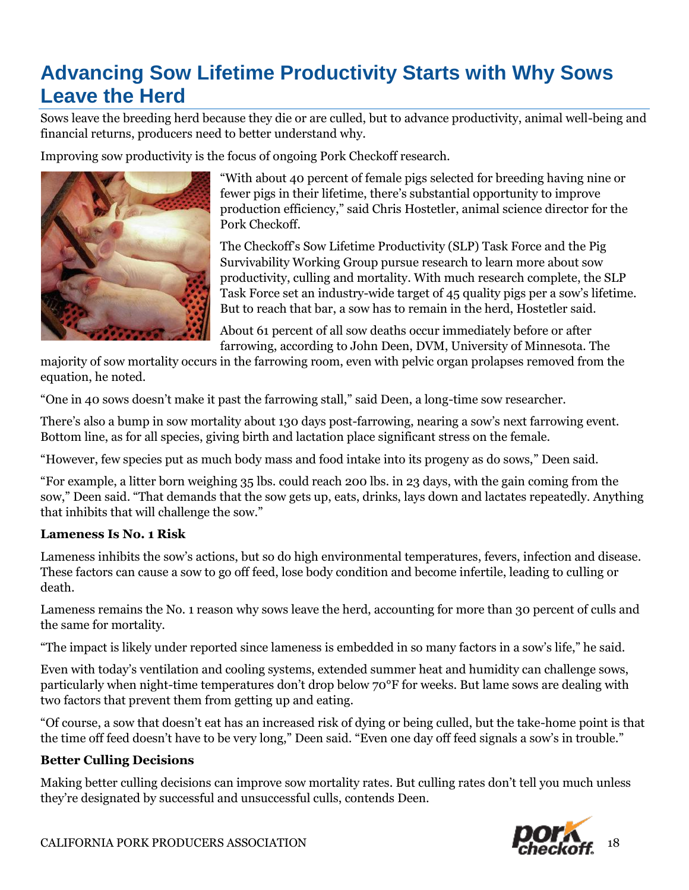## **Advancing Sow Lifetime Productivity Starts with Why Sows Leave the Herd**

Sows leave the breeding herd because they die or are culled, but to advance productivity, animal well-being and financial returns, producers need to better understand why.

Improving sow productivity is the focus of ongoing Pork Checkoff research.



"With about 40 percent of female pigs selected for breeding having nine or fewer pigs in their lifetime, there's substantial opportunity to improve production efficiency," said Chris Hostetler, animal science director for the Pork Checkoff.

The Checkoff's Sow Lifetime Productivity (SLP) Task Force and the Pig Survivability Working Group pursue research to learn more about sow productivity, culling and mortality. With much research complete, the SLP Task Force set an industry-wide target of 45 quality pigs per a sow's lifetime. But to reach that bar, a sow has to remain in the herd, Hostetler said.

About 61 percent of all sow deaths occur immediately before or after farrowing, according to John Deen, DVM, University of Minnesota. The

majority of sow mortality occurs in the farrowing room, even with pelvic organ prolapses removed from the equation, he noted.

"One in 40 sows doesn't make it past the farrowing stall," said Deen, a long-time sow researcher.

There's also a bump in sow mortality about 130 days post-farrowing, nearing a sow's next farrowing event. Bottom line, as for all species, giving birth and lactation place significant stress on the female.

"However, few species put as much body mass and food intake into its progeny as do sows," Deen said.

"For example, a litter born weighing 35 lbs. could reach 200 lbs. in 23 days, with the gain coming from the sow," Deen said. "That demands that the sow gets up, eats, drinks, lays down and lactates repeatedly. Anything that inhibits that will challenge the sow."

#### **Lameness Is No. 1 Risk**

Lameness inhibits the sow's actions, but so do high environmental temperatures, fevers, infection and disease. These factors can cause a sow to go off feed, lose body condition and become infertile, leading to culling or death.

Lameness remains the No. 1 reason why sows leave the herd, accounting for more than 30 percent of culls and the same for mortality.

"The impact is likely under reported since lameness is embedded in so many factors in a sow's life," he said.

Even with today's ventilation and cooling systems, extended summer heat and humidity can challenge sows, particularly when night-time temperatures don't drop below 70°F for weeks. But lame sows are dealing with two factors that prevent them from getting up and eating.

"Of course, a sow that doesn't eat has an increased risk of dying or being culled, but the take-home point is that the time off feed doesn't have to be very long," Deen said. "Even one day off feed signals a sow's in trouble."

#### **Better Culling Decisions**

Making better culling decisions can improve sow mortality rates. But culling rates don't tell you much unless they're designated by successful and unsuccessful culls, contends Deen.

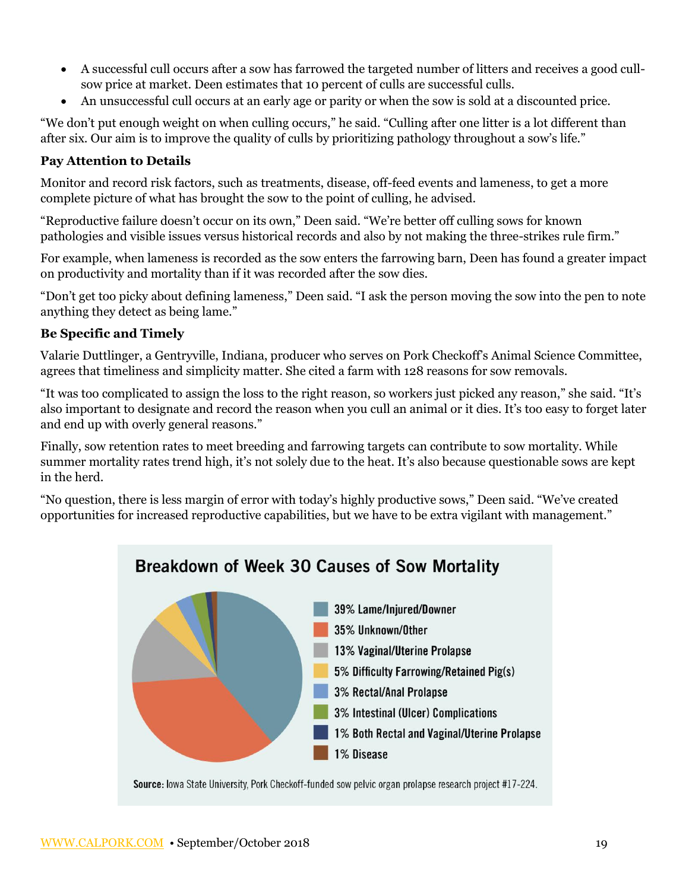- A successful cull occurs after a sow has farrowed the targeted number of litters and receives a good cullsow price at market. Deen estimates that 10 percent of culls are successful culls.
- An unsuccessful cull occurs at an early age or parity or when the sow is sold at a discounted price.

"We don't put enough weight on when culling occurs," he said. "Culling after one litter is a lot different than after six. Our aim is to improve the quality of culls by prioritizing pathology throughout a sow's life."

#### **Pay Attention to Details**

Monitor and record risk factors, such as treatments, disease, off-feed events and lameness, to get a more complete picture of what has brought the sow to the point of culling, he advised.

"Reproductive failure doesn't occur on its own," Deen said. "We're better off culling sows for known pathologies and visible issues versus historical records and also by not making the three-strikes rule firm."

For example, when lameness is recorded as the sow enters the farrowing barn, Deen has found a greater impact on productivity and mortality than if it was recorded after the sow dies.

"Don't get too picky about defining lameness," Deen said. "I ask the person moving the sow into the pen to note anything they detect as being lame."

#### **Be Specific and Timely**

Valarie Duttlinger, a Gentryville, Indiana, producer who serves on Pork Checkoff's Animal Science Committee, agrees that timeliness and simplicity matter. She cited a farm with 128 reasons for sow removals.

"It was too complicated to assign the loss to the right reason, so workers just picked any reason," she said. "It's also important to designate and record the reason when you cull an animal or it dies. It's too easy to forget later and end up with overly general reasons."

Finally, sow retention rates to meet breeding and farrowing targets can contribute to sow mortality. While summer mortality rates trend high, it's not solely due to the heat. It's also because questionable sows are kept in the herd.

"No question, there is less margin of error with today's highly productive sows," Deen said. "We've created opportunities for increased reproductive capabilities, but we have to be extra vigilant with management."



Source: lowa State University, Pork Checkoff-funded sow pelvic organ prolapse research project #17-224.